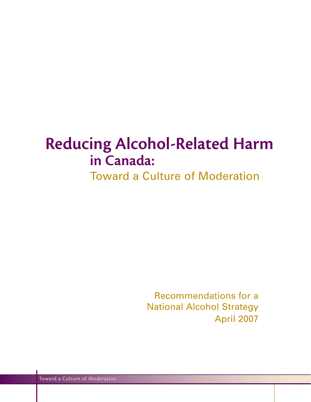# **Reducing Alcohol-Related Harm in Canada:**

# Toward a Culture of Moderation

Recommendations for a National Alcohol Strategy April 2007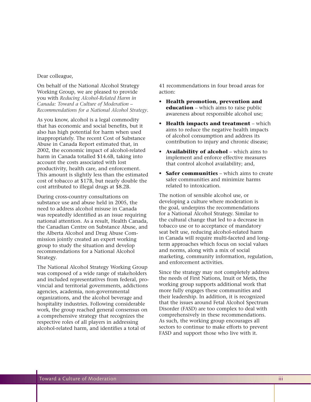#### Dear colleague,

On behalf of the National Alcohol Strategy Working Group, we are pleased to provide you with *Reducing Alcohol-Related Harm in Canada: Toward a Culture of Moderation – Recommendations for a National Alcohol Strategy*.

As you know, alcohol is a legal commodity that has economic and social benefits, but it also has high potential for harm when used inappropriately. The recent Cost of Substance Abuse in Canada Report estimated that, in 2002, the economic impact of alcohol-related harm in Canada totalled \$14.6B, taking into account the costs associated with lost productivity, health care, and enforcement. This amount is slightly less than the estimated cost of tobacco at \$17B, but nearly double the cost attributed to illegal drugs at \$8.2B.

During cross-country consultations on substance use and abuse held in 2005, the need to address alcohol misuse in Canada was repeatedly identified as an issue requiring national attention. As a result, Health Canada, the Canadian Centre on Substance Abuse, and the Alberta Alcohol and Drug Abuse Commission jointly created an expert working group to study the situation and develop recommendations for a National Alcohol Strategy.

The National Alcohol Strategy Working Group was composed of a wide range of stakeholders and included representatives from federal, provincial and territorial governments, addictions agencies, academia, non-governmental organizations, and the alcohol beverage and hospitality industries. Following considerable work, the group reached general consensus on a comprehensive strategy that recognizes the respective roles of all players in addressing alcohol-related harm, and identifies a total of

41 recommendations in four broad areas for action:

- **Health promotion, prevention and education** – which aims to raise public awareness about responsible alcohol use;
- **Health impacts and treatment** which aims to reduce the negative health impacts of alcohol consumption and address its contribution to injury and chronic disease;
- **Availability of alcohol** which aims to implement and enforce effective measures that control alcohol availability; and,
- **Safer communities** which aims to create safer communities and minimize harms related to intoxication.

The notion of sensible alcohol use, or developing a culture where moderation is the goal, underpins the recommendations for a National Alcohol Strategy. Similar to the cultural change that led to a decrease in tobacco use or to acceptance of mandatory seat belt use, reducing alcohol-related harm in Canada will require multi-faceted and longterm approaches which focus on social values and norms, along with a mix of social marketing, community information, regulation, and enforcement activities.

Since the strategy may not completely address the needs of First Nations, Inuit or Metis, the working group supports additional work that more fully engages these communities and their leadership. In addition, it is recognized that the issues around Fetal Alcohol Spectrum Disorder (FASD) are too complex to deal with comprehensively in these recommendations. As such, the working group encourages all sectors to continue to make efforts to prevent FASD and support those who live with it.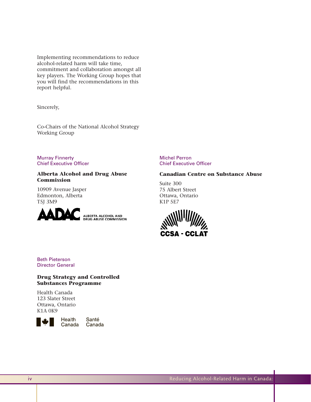Implementing recommendations to reduce alcohol-related harm will take time, commitment and collaboration amongst all key players. The Working Group hopes that you will find the recommendations in this report helpful.

Sincerely,

Co-Chairs of the National Alcohol Strategy Working Group

Murray Finnerty Chief Executive Officer

### **Alberta Alcohol and Drug Abuse Commission**

10909 Avenue Jasper Edmonton, Alberta T5J 3M9



Michel Perron Chief Executive Officer

### **Canadian Centre on Substance Abuse**

Suite 300 75 Albert Street Ottawa, Ontario K1P 5E7



### Beth Pieterson Director General

### **Drug Strategy and Controlled Substances Programme**

Health Canada 123 Slater Street Ottawa, Ontario K1A 0K9



Santé Canada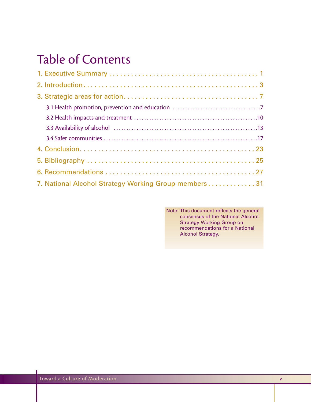# Table of Contents

| 7. National Alcohol Strategy Working Group members 31 |  |
|-------------------------------------------------------|--|

Note: This document reflects the general consensus of the National Alcohol Strategy Working Group on recommendations for a National Alcohol Strategy.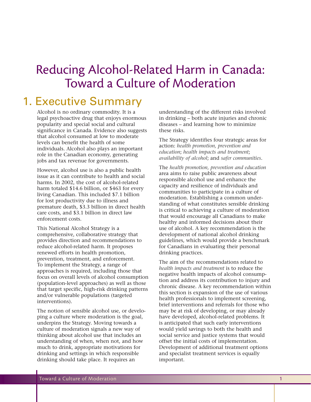# Reducing Alcohol-Related Harm in Canada: Toward a Culture of Moderation

# 1. Executive Summary

Alcohol is no ordinary commodity. It is a legal psychoactive drug that enjoys enormous popularity and special social and cultural significance in Canada. Evidence also suggests that alcohol consumed at low to moderate levels can benefit the health of some individuals. Alcohol also plays an important role in the Canadian economy, generating jobs and tax revenue for governments.

However, alcohol use is also a public health issue as it can contribute to health and social harms. In 2002, the cost of alcohol-related harm totaled \$14.6 billion, or \$463 for every living Canadian. This included \$7.1 billion for lost productivity due to illness and premature death, \$3.3 billion in direct health care costs, and \$3.1 billion in direct law enforcement costs.

This National Alcohol Strategy is a comprehensive, collaborative strategy that provides direction and recommendations to reduce alcohol-related harm. It proposes renewed efforts in health promotion, prevention, treatment, and enforcement. To implement the Strategy, a range of approaches is required, including those that focus on overall levels of alcohol consumption (population-level approaches) as well as those that target specific, high-risk drinking patterns and/or vulnerable populations (targeted interventions).

The notion of sensible alcohol use, or developing a culture where moderation is the goal, underpins the Strategy. Moving towards a culture of moderation signals a new way of thinking about alcohol use that includes an understanding of when, when not, and how much to drink, appropriate motivations for drinking and settings in which responsible drinking should take place. It requires an

understanding of the different risks involved in drinking – both acute injuries and chronic diseases – and learning how to minimize these risks.

The Strategy identifies four strategic areas for action: *health promotion, prevention and education*; *health impacts and treatment*; *availability of alcohol*; and *safer communities*.

The *health promotion, prevention and education* area aims to raise public awareness about responsible alcohol use and enhance the capacity and resilience of individuals and communities to participate in a culture of moderation. Establishing a common understanding of what constitutes sensible drinking is critical to achieving a culture of moderation that would encourage all Canadians to make healthy and informed decisions about their use of alcohol. A key recommendation is the development of national alcohol drinking guidelines, which would provide a benchmark for Canadians in evaluating their personal drinking practices.

The aim of the recommendations related to *health impacts and treatment* is to reduce the negative health impacts of alcohol consumption and address its contribution to injury and chronic disease. A key recommendation within this section is expansion of the use of various health professionals to implement screening, brief interventions and referrals for those who may be at risk of developing, or may already have developed, alcohol-related problems. It is anticipated that such early interventions would yield savings to both the health and social service and justice systems that would offset the initial costs of implementation. Development of additional treatment options and specialist treatment services is equally important.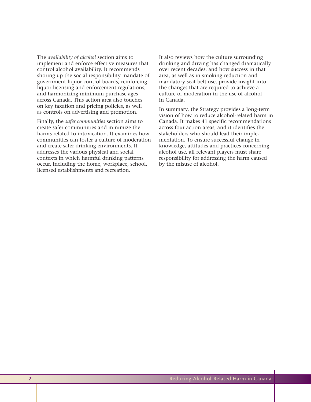The *availability of alcohol* section aims to implement and enforce effective measures that control alcohol availability. It recommends shoring up the social responsibility mandate of government liquor control boards, reinforcing liquor licensing and enforcement regulations, and harmonizing minimum purchase ages across Canada. This action area also touches on key taxation and pricing policies, as well as controls on advertising and promotion.

Finally, the *safer communities* section aims to create safer communities and minimize the harms related to intoxication. It examines how communities can foster a culture of moderation and create safer drinking environments. It addresses the various physical and social contexts in which harmful drinking patterns occur, including the home, workplace, school, licensed establishments and recreation.

It also reviews how the culture surrounding drinking and driving has changed dramatically over recent decades, and how success in that area, as well as in smoking reduction and mandatory seat belt use, provide insight into the changes that are required to achieve a culture of moderation in the use of alcohol in Canada.

In summary, the Strategy provides a long-term vision of how to reduce alcohol-related harm in Canada. It makes 41 specific recommendations across four action areas, and it identifies the stakeholders who should lead their implementation. To ensure successful change in knowledge, attitudes and practices concerning alcohol use, all relevant players must share responsibility for addressing the harm caused by the misuse of alcohol.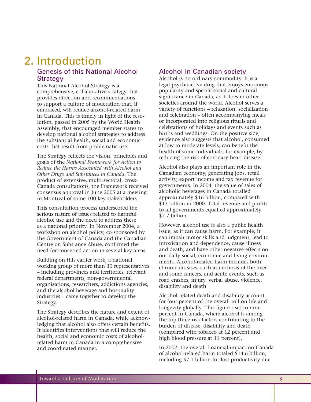# 2. Introduction

# Genesis of this National Alcohol Strategy

This National Alcohol Strategy is a comprehensive, collaborative strategy that provides direction and recommendations to support a culture of moderation that, if embraced, will reduce alcohol-related harm in Canada. This is timely in light of the resolution, passed in 2005 by the World Health Assembly, that encouraged member states to develop national alcohol strategies to address the substantial health, social and economic costs that result from problematic use.

The Strategy reflects the vision, principles and goals of the *National Framework for Action to Reduce the Harms Associated with Alcohol and Other Drugs and Substances in Canada*. The product of extensive, multi-sectoral, cross-Canada consultations, the Framework received consensus approval in June 2005 at a meeting in Montreal of some 100 key stakeholders.

This consultation process underscored the serious nature of issues related to harmful alcohol use and the need to address these as a national priority. In November 2004, a workshop on alcohol policy, co-sponsored by the Government of Canada and the Canadian Centre on Substance Abuse, confirmed the need for concerted action in several key areas.

Building on this earlier work, a national working group of more than 30 representatives – including provinces and territories, relevant federal departments, non-governmental organizations, researchers, addictions agencies, and the alcohol beverage and hospitality industries – came together to develop the Strategy.

The Strategy describes the nature and extent of alcohol-related harm in Canada, while acknowledging that alcohol also offers certain benefits. It identifies interventions that will reduce the health, social and economic costs of alcoholrelated harm in Canada in a comprehensive and coordinated manner.

# Alcohol in Canadian society

Alcohol is no ordinary commodity. It is a legal psychoactive drug that enjoys enormous popularity and special social and cultural significance in Canada, as it does in other societies around the world. Alcohol serves a variety of functions – relaxation, socialization and celebration – often accompanying meals or incorporated into religious rituals and celebrations of holidays and events such as births and weddings. On the positive side, evidence also suggests that alcohol, consumed at low to moderate levels, can benefit the health of some individuals, for example, by reducing the risk of coronary heart disease.

Alcohol also plays an important role in the Canadian economy, generating jobs, retail activity, export income and tax revenue for governments. In 2004, the value of sales of alcoholic beverages in Canada totalled approximately \$16 billion, compared with \$13 billion in 2000. Total revenue and profits to all governments equalled approximately \$7.7 billion.

However, alcohol use is also a public health issue, as it can cause harm. For example, it can impair motor skills and judgment, lead to intoxication and dependence, cause illness and death, and have other negative effects on our daily social, economic and living environments. Alcohol-related harm includes both chronic diseases, such as cirrhosis of the liver and some cancers, and acute events, such as road crashes, injury, verbal abuse, violence, disability and death.

Alcohol-related death and disability account for four percent of the overall toll on life and longevity globally. This figure rises to nine percent in Canada, where alcohol is among the top three risk factors contributing to the burden of disease, disability and death (compared with tobacco at 12 percent and high blood pressure at 11 percent).

In 2002, the overall financial impact on Canada of alcohol-related harm totaled \$14.6 billion, including \$7.1 billion for lost productivity due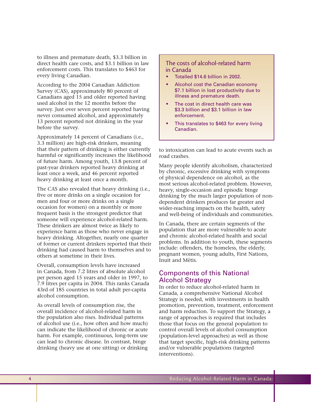to illness and premature death, \$3.3 billion in direct health care costs, and \$3.1 billion in law enforcement costs. This translates to \$463 for every living Canadian.

According to the 2004 Canadian Addiction Survey (CAS), approximately 80 percent of Canadians aged 15 and older reported having used alcohol in the 12 months before the survey. Just over seven percent reported having never consumed alcohol, and approximately 13 percent reported not drinking in the year before the survey.

Approximately 14 percent of Canadians (i.e., 3.3 million) are high-risk drinkers, meaning that their pattern of drinking is either currently harmful or significantly increases the likelihood of future harm. Among youth, 13.8 percent of past-year drinkers reported heavy drinking at least once a week, and 46 percent reported heavy drinking at least once a month.

The CAS also revealed that heavy drinking (i.e., five or more drinks on a single occasion for men and four or more drinks on a single occasion for women) on a monthly or more frequent basis is the strongest predictor that someone will experience alcohol-related harm. These drinkers are almost twice as likely to experience harm as those who never engage in heavy drinking. Altogether, nearly one quarter of former or current drinkers reported that their drinking had caused harm to themselves and to others at sometime in their lives.

Overall, consumption levels have increased in Canada, from 7.2 litres of absolute alcohol per person aged 15 years and older in 1997, to 7.9 litres per capita in 2004. This ranks Canada 43rd of 185 countries in total adult per-capita alcohol consumption.

As overall levels of consumption rise, the overall incidence of alcohol-related harm in the population also rises. Individual patterns of alcohol use (i.e., how often and how much) can indicate the likelihood of chronic or acute harm. For example, continuous, long-term use can lead to chronic disease. In contrast, binge drinking (heavy use at one sitting) or drinking

### The costs of alcohol-related harm in Canada

- Totalled \$14.6 billion in 2002.
- Alcohol cost the Canadian economy \$7.1 billion in lost productivity due to illness and premature death.
- The cost in direct health care was \$3.3 billion and \$3.1 billion in law enforcement.
- This translates to \$463 for every living Canadian.

to intoxication can lead to acute events such as road crashes.

Many people identify alcoholism, characterized by chronic, excessive drinking with symptoms of physical dependence on alcohol, as the most serious alcohol-related problem. However, heavy, single-occasion and episodic binge drinking by the much larger population of nondependent drinkers produces far greater and wider-reaching impacts on the health, safety and well-being of individuals and communities.

In Canada, there are certain segments of the population that are more vulnerable to acute and chronic alcohol-related health and social problems. In addition to youth, these segments include: offenders, the homeless, the elderly, pregnant women, young adults, First Nations, Inuit and Métis.

## Components of this National Alcohol Strategy

In order to reduce alcohol-related harm in Canada, a comprehensive National Alcohol Strategy is needed, with investments in health promotion, prevention, treatment, enforcement and harm reduction. To support the Strategy, a range of approaches is required that includes those that focus on the general population to control overall levels of alcohol consumption (population-level approaches) as well as those that target specific, high-risk drinking patterns and/or vulnerable populations (targeted interventions).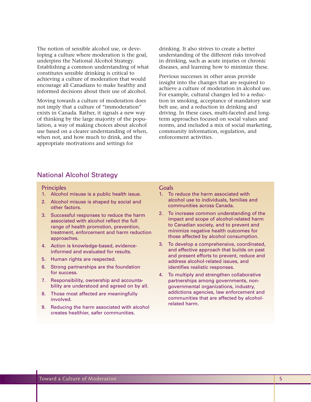The notion of sensible alcohol use, or developing a culture where moderation is the goal, underpins the National Alcohol Strategy. Establishing a common understanding of what constitutes sensible drinking is critical to achieving a culture of moderation that would encourage all Canadians to make healthy and informed decisions about their use of alcohol.

Moving towards a culture of moderation does not imply that a culture of "immoderation" exists in Canada. Rather, it signals a new way of thinking by the large majority of the population, a way of making choices about alcohol use based on a clearer understanding of when, when not, and how much to drink, and the appropriate motivations and settings for

drinking. It also strives to create a better understanding of the different risks involved in drinking, such as acute injuries or chronic diseases, and learning how to minimize these.

Previous successes in other areas provide insight into the changes that are required to achieve a culture of moderation in alcohol use. For example, cultural changes led to a reduction in smoking, acceptance of mandatory seat belt use, and a reduction in drinking and driving. In these cases, multi-faceted and longterm approaches focused on social values and norms, and included a mix of social marketing, community information, regulation, and enforcement activities.

# National Alcohol Strategy

### **Principles**

- 1. Alcohol misuse is a public health issue.
- 2. Alcohol misuse is shaped by social and other factors.
- 3. Successful responses to reduce the harm associated with alcohol reflect the full range of health promotion, prevention, treatment, enforcement and harm reduction approaches.
- 4. Action is knowledge-based, evidenceinformed and evaluated for results.
- 5. Human rights are respected.
- 6. Strong partnerships are the foundation for success.
- 7. Responsibility, ownership and accountability are understood and agreed on by all.
- 8. Those most affected are meaningfully involved.
- 9. Reducing the harm associated with alcohol creates healthier, safer communities.

### Goals

- 1. To reduce the harm associated with alcohol use to individuals, families and communities across Canada.
- 2. To increase common understanding of the impact and scope of alcohol-related harm to Canadian society, and to prevent and minimize negative health outcomes for those affected by alcohol consumption.
- 3. To develop a comprehensive, coordinated, and effective approach that builds on past and present efforts to prevent, reduce and address alcohol-related issues, and identifies realistic responses.
- 4. To multiply and strengthen collaborative partnerships among governments, nongovernmental organizations, industry, addictions agencies, law enforcement and communities that are affected by alcoholrelated harm.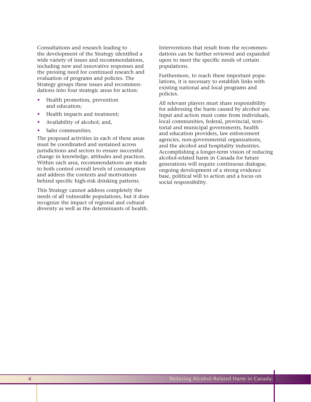Consultations and research leading to the development of the Strategy identified a wide variety of issues and recommendations, including new and innovative responses and the pressing need for continued research and evaluation of programs and policies. The Strategy groups these issues and recommendations into four strategic areas for action:

- Health promotion, prevention and education;
- Health impacts and treatment;
- Availability of alcohol; and,
- Safer communities.

The proposed activities in each of these areas must be coordinated and sustained across jurisdictions and sectors to ensure successful change in knowledge, attitudes and practices. Within each area, recommendations are made to both control overall levels of consumption and address the contexts and motivations behind specific high-risk drinking patterns.

This Strategy cannot address completely the needs of all vulnerable populations, but it does recognize the impact of regional and cultural diversity as well as the determinants of health.

Interventions that result from the recommendations can be further reviewed and expanded upon to meet the specific needs of certain populations.

Furthermore, to reach these important populations, it is necessary to establish links with existing national and local programs and policies.

All relevant players must share responsibility for addressing the harm caused by alcohol use. Input and action must come from individuals, local communities, federal, provincial, territorial and municipal governments, health and education providers, law enforcement agencies, non-governmental organizations, and the alcohol and hospitality industries. Accomplishing a longer-term vision of reducing alcohol-related harm in Canada for future generations will require continuous dialogue, ongoing development of a strong evidence base, political will to action and a focus on social responsibility.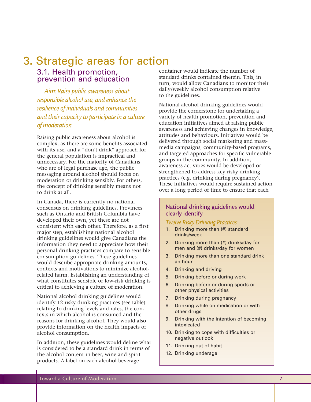# 3.1. Health promotion, prevention and education 3. Strategic areas for action

*Aim: Raise public awareness about responsible alcohol use, and enhance the resilience of individuals and communities and their capacity to participate in a culture of moderation.*

Raising public awareness about alcohol is complex, as there are some benefits associated with its use, and a "don't drink" approach for the general population is impractical and unnecessary. For the majority of Canadians who are of legal purchase age, the public messaging around alcohol should focus on moderation or drinking sensibly. For others, the concept of drinking sensibly means not to drink at all.

In Canada, there is currently no national consensus on drinking guidelines. Provinces such as Ontario and British Columbia have developed their own, yet these are not consistent with each other. Therefore, as a first major step, establishing national alcohol drinking guidelines would give Canadians the information they need to appreciate how their personal drinking practices compare to sensible consumption guidelines. These guidelines would describe appropriate drinking amounts, contexts and motivations to minimize alcoholrelated harm. Establishing an understanding of what constitutes sensible or low-risk drinking is critical to achieving a culture of moderation.

National alcohol drinking guidelines would identify 12 risky drinking practices (see table) relating to drinking levels and rates, the contexts in which alcohol is consumed and the reasons for drinking alcohol. They would also provide information on the health impacts of alcohol consumption.

In addition, these guidelines would define what is considered to be a standard drink in terms of the alcohol content in beer, wine and spirit products. A label on each alcohol beverage

container would indicate the number of standard drinks contained therein. This, in turn, would allow Canadians to monitor their daily/weekly alcohol consumption relative to the guidelines.

National alcohol drinking guidelines would provide the cornerstone for undertaking a variety of health promotion, prevention and education initiatives aimed at raising public awareness and achieving changes in knowledge, attitudes and behaviours. Initiatives would be delivered through social marketing and massmedia campaigns, community-based programs, and targeted approaches for specific vulnerable groups in the community. In addition, awareness activities would be developed or strengthened to address key risky drinking practices (e.g. drinking during pregnancy). These initiatives would require sustained action over a long period of time to ensure that each

### National drinking guidelines would clearly identify

*Twelve Risky Drinking Practices:*

- 1. Drinking more than (#) standard drinks/week
- 2. Drinking more than (#) drinks/day for men and (#) drinks/day for women
- 3. Drinking more than one standard drink an hour
- 4. Drinking and driving
- 5. Drinking before or during work
- 6. Drinking before or during sports or other physical activities
- 7. Drinking during pregnancy
- 8. Drinking while on medication or with other drugs
- 9. Drinking with the intention of becoming intoxicated
- 10. Drinking to cope with difficulties or negative outlook
- 11. Drinking out of habit
- 12. Drinking underage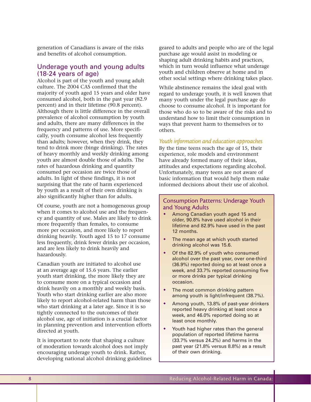generation of Canadians is aware of the risks and benefits of alcohol consumption.

# Underage youth and young adults (18-24 years of age)

Alcohol is part of the youth and young adult culture. The 2004 CAS confirmed that the majority of youth aged 15 years and older have consumed alcohol, both in the past year (82.9 percent) and in their lifetime (90.8 percent). Although there is little difference in the overall prevalence of alcohol consumption by youth and adults, there are many differences in the frequency and patterns of use. More specifically, youth consume alcohol less frequently than adults; however, when they drink, they tend to drink more (binge drinking). The rates of heavy monthly and weekly drinking among youth are almost double those of adults. The rates of hazardous drinking and quantity consumed per occasion are twice those of adults. In light of these findings, it is not surprising that the rate of harm experienced by youth as a result of their own drinking is also significantly higher than for adults.

Of course, youth are not a homogeneous group when it comes to alcohol use and the frequency and quantity of use. Males are likely to drink more frequently than females, to consume more per occasion, and more likely to report drinking heavily. Youth aged 15 to 17 consume less frequently, drink fewer drinks per occasion, and are less likely to drink heavily and hazardously.

Canadian youth are initiated to alcohol use at an average age of 15.6 years. The earlier youth start drinking, the more likely they are to consume more on a typical occasion and drink heavily on a monthly and weekly basis. Youth who start drinking earlier are also more likely to report alcohol-related harm than those who start drinking at a later age. Since it is so tightly connected to the outcomes of their alcohol use, age of initiation is a crucial factor in planning prevention and intervention efforts directed at youth.

It is important to note that shaping a culture of moderation towards alcohol does not imply encouraging underage youth to drink. Rather, developing national alcohol drinking guidelines geared to adults and people who are of the legal purchase age would assist in modeling or shaping adult drinking habits and practices, which in turn would influence what underage youth and children observe at home and in other social settings where drinking takes place.

While abstinence remains the ideal goal with regard to underage youth, it is well known that many youth under the legal purchase age do choose to consume alcohol. It is important for those who do so to be aware of the risks and to understand how to limit their consumption in ways that prevent harm to themselves or to others.

### *Youth information and education approaches*

By the time teens reach the age of 15, their experience, role models and environment have already formed many of their ideas, attitudes and expectations regarding alcohol. Unfortunately, many teens are not aware of basic information that would help them make informed decisions about their use of alcohol.

### Consumption Patterns: Underage Youth and Young Adults

- Among Canadian youth aged 15 and older, 90.8% have used alcohol in their lifetime and 82.9% have used in the past 12 months.
- The mean age at which youth started drinking alcohol was 15.6.
- Of the 82.9% of youth who consumed alcohol over the past year, over one-third (36.9%) reported doing so at least once a week, and 33.7% reported consuming five or more drinks per typical drinking occasion.
- The most common drinking pattern among youth is light/infrequent (38.7%).
- Among youth, 13.8% of past-year drinkers reported heavy drinking at least once a week, and 46.0% reported doing so at least once monthly.
- Youth had higher rates than the general population of reported lifetime harms (33.7% versus 24.2%) and harms in the past year (21.8% versus 8.8%) as a result of their own drinking.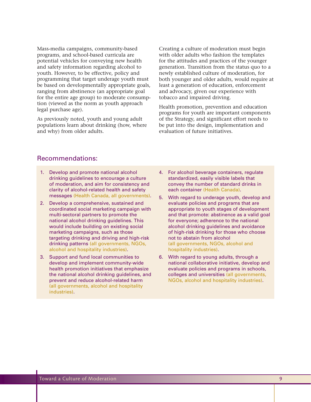Mass-media campaigns, community-based programs, and school-based curricula are potential vehicles for conveying new health and safety information regarding alcohol to youth. However, to be effective, policy and programming that target underage youth must be based on developmentally appropriate goals, ranging from abstinence (an appropriate goal for the entire age group) to moderate consumption (viewed as the norm as youth approach legal purchase age).

As previously noted, youth and young adult populations learn about drinking (how, where and why) from older adults.

Creating a culture of moderation must begin with older adults who fashion the templates for the attitudes and practices of the younger generation. Transition from the status quo to a newly established culture of moderation, for both younger and older adults, would require at least a generation of education, enforcement and advocacy, given our experience with tobacco and impaired driving.

Health promotion, prevention and education programs for youth are important components of the Strategy, and significant effort needs to be put into the design, implementation and evaluation of future initiatives.

## Recommendations:

- 1. Develop and promote national alcohol drinking guidelines to encourage a culture of moderation, and aim for consistency and clarity of alcohol-related health and safety messages (Health Canada, all governments).
- 2. Develop a comprehensive, sustained and coordinated social marketing campaign with multi-sectoral partners to promote the national alcohol drinking guidelines. This would include building on existing social marketing campaigns, such as those targeting drinking and driving and high-risk drinking patterns (all governments, NGOs, alcohol and hospitality industries).
- 3. Support and fund local communities to develop and implement community-wide health promotion initiatives that emphasize the national alcohol drinking guidelines, and prevent and reduce alcohol-related harm (all governments, alcohol and hospitality industries).
- 4. For alcohol beverage containers, regulate standardized, easily visible labels that convey the number of standard drinks in each container (Health Canada).
- 5. With regard to underage youth, develop and evaluate policies and programs that are appropriate to youth stages of development and that promote: abstinence as a valid goal for everyone; adherence to the national alcohol drinking guidelines and avoidance of high-risk drinking for those who choose not to abstain from alcohol (all governments, NGOs, alcohol and hospitality industries).
- 6. With regard to young adults, through a national collaborative initiative, develop and evaluate policies and programs in schools, colleges and universities (all governments, NGOs, alcohol and hospitality industries).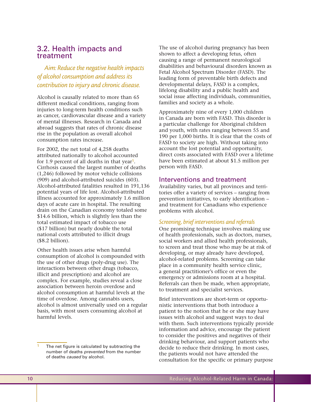# 3.2. Health impacts and treatment

*Aim: Reduce the negative health impacts of alcohol consumption and address its contribution to injury and chronic disease.*

Alcohol is causally related to more than 65 different medical conditions, ranging from injuries to long-term health conditions such as cancer, cardiovascular disease and a variety of mental illnesses. Research in Canada and abroad suggests that rates of chronic disease rise in the population as overall alcohol consumption rates increase.

For 2002, the net total of 4,258 deaths attributed nationally to alcohol accounted for 1.9 percent of all deaths in that year<sup>1</sup>. Cirrhosis caused the largest number of deaths (1,246) followed by motor vehicle collisions (909) and alcohol-attributed suicides (603). Alcohol-attributed fatalities resulted in 191,136 potential years of life lost. Alcohol-attributed illness accounted for approximately 1.6 million days of acute care in hospital. The resulting drain on the Canadian economy totaled some \$14.6 billion, which is slightly less than the total estimated impact of tobacco use (\$17 billion) but nearly double the total national costs attributed to illicit drugs (\$8.2 billion).

Other health issues arise when harmful consumption of alcohol is compounded with the use of other drugs (poly-drug use). The interactions between other drugs (tobacco, illicit and prescription) and alcohol are complex. For example, studies reveal a close association between heroin overdose and alcohol consumption at harmful levels at the time of overdose. Among cannabis users, alcohol is almost universally used on a regular basis, with most users consuming alcohol at harmful levels.

The net figure is calculated by subtracting the number of deaths prevented from the number of deaths caused by alcohol.

The use of alcohol during pregnancy has been shown to affect a developing fetus, often causing a range of permanent neurological disabilities and behavioural disorders known as Fetal Alcohol Spectrum Disorder (FASD). The leading form of preventable birth defects and developmental delays, FASD is a complex, lifelong disability and a public health and social issue affecting individuals, communities, families and society as a whole.

Approximately nine of every 1,000 children in Canada are born with FASD. This disorder is a particular challenge for Aboriginal children and youth, with rates ranging between 55 and 190 per 1,000 births. It is clear that the costs of FASD to society are high. Without taking into account the lost potential and opportunity, direct costs associated with FASD over a lifetime have been estimated at about \$1.5 million per person with FASD.

### Interventions and treatment

Availability varies, but all provinces and territories offer a variety of services – ranging from prevention initiatives, to early identification – and treatment for Canadians who experience problems with alcohol.

### *Screening, brief interventions and referrals*

One promising technique involves making use of health professionals, such as doctors, nurses, social workers and allied health professionals, to screen and treat those who may be at risk of developing, or may already have developed, alcohol-related problems. Screening can take place in a community health service clinic, a general practitioner's office or even the emergency or admissions room at a hospital. Referrals can then be made, when appropriate, to treatment and specialist services.

Brief interventions are short-term or opportunistic interventions that both introduce a patient to the notion that he or she may have issues with alcohol and suggest ways to deal with them. Such interventions typically provide information and advice, encourage the patient to consider the positives and negatives of their drinking behaviour, and support patients who decide to reduce their drinking. In most cases, the patients would not have attended the consultation for the specific or primary purpose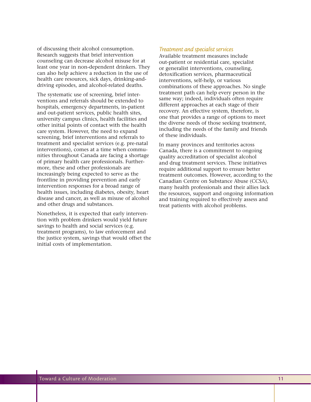of discussing their alcohol consumption. Research suggests that brief intervention counseling can decrease alcohol misuse for at least one year in non-dependent drinkers. They can also help achieve a reduction in the use of health care resources, sick days, drinking-anddriving episodes, and alcohol-related deaths.

The systematic use of screening, brief interventions and referrals should be extended to hospitals, emergency departments, in-patient and out-patient services, public health sites, university campus clinics, health facilities and other initial points of contact with the health care system. However, the need to expand screening, brief interventions and referrals to treatment and specialist services (e.g. pre-natal interventions), comes at a time when communities throughout Canada are facing a shortage of primary health care professionals. Furthermore, these and other professionals are increasingly being expected to serve as the frontline in providing prevention and early intervention responses for a broad range of health issues, including diabetes, obesity, heart disease and cancer, as well as misuse of alcohol and other drugs and substances.

Nonetheless, it is expected that early intervention with problem drinkers would yield future savings to health and social services (e.g. treatment programs), to law enforcement and the justice system, savings that would offset the initial costs of implementation.

### *Treatment and specialist services*

Available treatment measures include out-patient or residential care, specialist or generalist interventions, counseling, detoxification services, pharmaceutical interventions, self-help, or various combinations of these approaches. No single treatment path can help every person in the same way; indeed, individuals often require different approaches at each stage of their recovery. An effective system, therefore, is one that provides a range of options to meet the diverse needs of those seeking treatment, including the needs of the family and friends of these individuals.

In many provinces and territories across Canada, there is a commitment to ongoing quality accreditation of specialist alcohol and drug treatment services. These initiatives require additional support to ensure better treatment outcomes. However, according to the Canadian Centre on Substance Abuse (CCSA), many health professionals and their allies lack the resources, support and ongoing information and training required to effectively assess and treat patients with alcohol problems.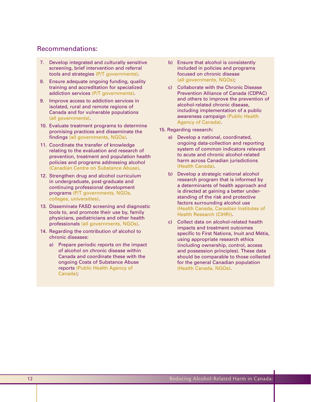# Recommendations:

- 7. Develop integrated and culturally sensitive screening, brief intervention and referral tools and strategies (P/T governments).
- 8. Ensure adequate ongoing funding, quality training and accreditation for specialized addiction services (P/T governments).
- 9. Improve access to addiction services in isolated, rural and remote regions of Canada and for vulnerable populations (all governments).
- 10. Evaluate treatment programs to determine promising practices and disseminate the findings (all governments, NGOs).
- 11. Coordinate the transfer of knowledge relating to the evaluation and research of prevention, treatment and population health policies and programs addressing alcohol (Canadian Centre on Substance Abuse).
- 12. Strengthen drug and alcohol curriculum in undergraduate, post-graduate and continuing professional development programs (P/T governments, NGOs, colleges, universities).
- 13. Disseminate FASD screening and diagnostic tools to, and promote their use by, family physicians, pediatricians and other health professionals (all governments, NGOs).
- 14. Regarding the contribution of alcohol to chronic diseases:
	- a) Prepare periodic reports on the impact of alcohol on chronic disease within Canada and coordinate these with the ongoing Costs of Substance Abuse reports (Public Health Agency of Canada);
- b) Ensure that alcohol is consistently included in policies and programs focused on chronic disease (all governments, NGOs);
- c) Collaborate with the Chronic Disease Prevention Alliance of Canada (CDPAC) and others to improve the prevention of alcohol-related chronic disease, including implementation of a public awareness campaign (Public Health Agency of Canada).
- 15. Regarding research:
	- a) Develop a national, coordinated, ongoing data-collection and reporting system of common indicators relevant to acute and chronic alcohol-related harm across Canadian jurisdictions (Health Canada).
	- b) Develop a strategic national alcohol research program that is informed by a determinants of health approach and is directed at gaining a better understanding of the risk and protective factors surrounding alcohol use (Health Canada, Canadian Institutes of Health Research (CIHR)).
	- c) Collect data on alcohol-related health impacts and treatment outcomes specific to First Nations, Inuit and Métis, using appropriate research ethics (including ownership, control, access and possession principles). These data should be comparable to those collected for the general Canadian population (Health Canada, NGOs).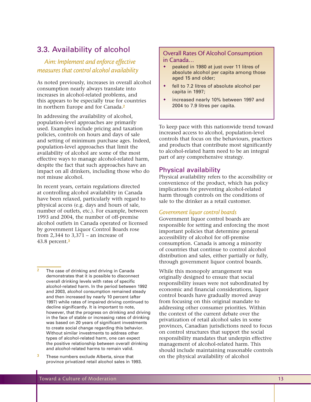# 3.3. Availability of alcohol

# *Aim: Implement and enforce effective measures that control alcohol availability*

As noted previously, increases in overall alcohol consumption nearly always translate into increases in alcohol-related problems, and this appears to be especially true for countries in northern Europe and for Canada.<sup>2</sup>

In addressing the availability of alcohol, population-level approaches are primarily used. Examples include pricing and taxation policies, controls on hours and days of sale and setting of minimum purchase ages. Indeed, population-level approaches that limit the availability of alcohol are some of the most effective ways to manage alcohol-related harm, despite the fact that such approaches have an impact on all drinkers, including those who do not misuse alcohol.

In recent years, certain regulations directed at controlling alcohol availability in Canada have been relaxed, particularly with regard to physical access (e.g. days and hours of sale, number of outlets, etc.). For example, between 1993 and 2004, the number of off-premise alcohol outlets in Canada operated or licensed by government Liquor Control Boards rose from 2,344 to  $3,371$  – an increase of 43.8 percent.<sup>3</sup>

- The case of drinking and driving in Canada demonstrates that it is possible to disconnect overall drinking levels with rates of specific alcohol-related harm. In the period between 1992 and 2003, alcohol consumption remained steady and then increased by nearly 10 percent (after 1997) while rates of impaired driving continued to decline significantly. It is important to note, however, that the progress on drinking and driving in the face of stable or increasing rates of drinking was based on 20 years of significant investments to create social change regarding this behavior. Without similar investments to address other types of alcohol-related harm, one can expect the positive relationship between overall drinking and alcohol-related harms to remain valid.
- $3$  These numbers exclude Alberta, since that province privatized retail alcohol sales in 1993.

## Overall Rates Of Alcohol Consumption in Canada…

- peaked in 1980 at just over 11 litres of absolute alcohol per capita among those aged 15 and older;
- fell to 7.2 litres of absolute alcohol per capita in 1997;
- increased nearly 10% between 1997 and 2004 to 7.9 litres per capita.

To keep pace with this nationwide trend toward increased access to alcohol, population-level controls that focus on the behaviours, practices and products that contribute most significantly to alcohol-related harm need to be an integral part of any comprehensive strategy.

## Physical availability

Physical availability refers to the accessibility or convenience of the product, which has policy implications for preventing alcohol-related harm through controls on the conditions of sale to the drinker as a retail customer.

### *Government liquor control boards*

Government liquor control boards are responsible for setting and enforcing the most important policies that determine general accessibility of alcohol for off-premise consumption. Canada is among a minority of countries that continue to control alcohol distribution and sales, either partially or fully, through government liquor control boards.

While this monopoly arrangement was originally designed to ensure that social responsibility issues were not subordinated by economic and financial considerations, liquor control boards have gradually moved away from focusing on this original mandate to addressing other consumer priorities. Within the context of the current debate over the privatization of retail alcohol sales in some provinces, Canadian jurisdictions need to focus on control structures that support the social responsibility mandates that underpin effective management of alcohol-related harm. This should include maintaining reasonable controls on the physical availability of alcohol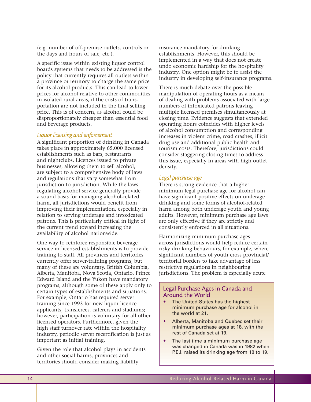(e.g. number of off-premise outlets, controls on the days and hours of sale, etc.).

A specific issue within existing liquor control boards systems that needs to be addressed is the policy that currently requires all outlets within a province or territory to charge the same price for its alcohol products. This can lead to lower prices for alcohol relative to other commodities in isolated rural areas, if the costs of transportation are not included in the final selling price. This is of concern, as alcohol could be disproportionately cheaper than essential food and beverage products.

### *Liquor licensing and enforcement*

A significant proportion of drinking in Canada takes place in approximately 65,000 licensed establishments such as bars, restaurants and nightclubs. Licences issued to private businesses, allowing them to sell alcohol, are subject to a comprehensive body of laws and regulations that vary somewhat from jurisdiction to jurisdiction. While the laws regulating alcohol service generally provide a sound basis for managing alcohol-related harm, all jurisdictions would benefit from improving their implementation, especially in relation to serving underage and intoxicated patrons. This is particularly critical in light of the current trend toward increasing the availability of alcohol nationwide.

One way to reinforce responsible beverage service in licensed establishments is to provide training to staff. All provinces and territories currently offer server-training programs, but many of these are voluntary. British Columbia, Alberta, Manitoba, Nova Scotia, Ontario, Prince Edward Island and the Yukon have mandatory programs, although some of these apply only to certain types of establishments and situations. For example, Ontario has required server training since 1993 for new liquor licence applicants, transferees, caterers and stadiums; however, participation is voluntary for all other licensed operators. Furthermore, given the high staff turnover rate within the hospitality industry, periodic server recertification is just as important as initial training.

Given the role that alcohol plays in accidents and other social harms, provinces and territories should consider making liability

insurance mandatory for drinking establishments. However, this should be implemented in a way that does not create undo economic hardship for the hospitality industry. One option might be to assist the industry in developing self-insurance programs.

There is much debate over the possible manipulation of operating hours as a means of dealing with problems associated with large numbers of intoxicated patrons leaving multiple licensed premises simultaneously at closing time. Evidence suggests that extended operating hours coincides with higher levels of alcohol consumption and corresponding increases in violent crime, road crashes, illicit drug use and additional public health and tourism costs. Therefore, jurisdictions could consider staggering closing times to address this issue, especially in areas with high outlet density.

### *Legal purchase age*

There is strong evidence that a higher minimum legal purchase age for alcohol can have significant positive effects on underage drinking and some forms of alcohol-related harm among both underage youth and young adults. However, minimum purchase age laws are only effective if they are strictly and consistently enforced in all situations.

Harmonizing minimum purchase ages across jurisdictions would help reduce certain risky drinking behaviours, for example, where significant numbers of youth cross provincial/ territorial borders to take advantage of less restrictive regulations in neighbouring jurisdictions. The problem is especially acute

## Legal Purchase Ages in Canada and Around the World

- The United States has the highest minimum purchase age for alcohol in the world at 21.
- Alberta, Manitoba and Quebec set their minimum purchase ages at 18, with the rest of Canada set at 19.
- The last time a minimum purchase age was changed in Canada was in 1982 when P.E.I. raised its drinking age from 18 to 19.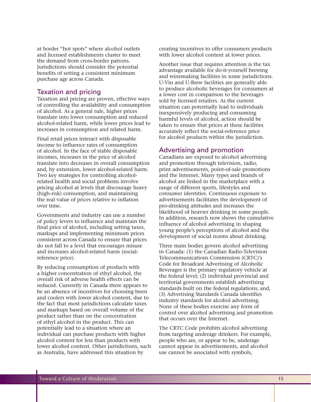at border "hot spots" where alcohol outlets and licensed establishments cluster to meet the demand from cross-border patrons. Jurisdictions should consider the potential benefits of setting a consistent minimum purchase age across Canada.

# Taxation and pricing

Taxation and pricing are proven, effective ways of controlling the availability and consumption of alcohol. As a general rule, higher prices translate into lower consumption and reduced alcohol-related harm, while lower prices lead to increases in consumption and related harm.

Final retail prices interact with disposable income to influence rates of consumption of alcohol. In the face of stable disposable incomes, increases in the price of alcohol translate into decreases in overall consumption and, by extension, lower alcohol-related harm. Two key strategies for controlling alcoholrelated health and social problems involve pricing alcohol at levels that discourage heavy (high-risk) consumption, and maintaining the real value of prices relative to inflation over time.

Governments and industry can use a number of policy levers to influence and maintain the final price of alcohol, including setting taxes, markups and implementing minimum prices consistent across Canada to ensure that prices do not fall to a level that encourages misuse and increases alcohol-related harm (socialreference price).

By reducing consumption of products with a higher concentration of ethyl alcohol, the overall risk of adverse health effects can be reduced. Currently in Canada there appears to be an absence of incentives for choosing beers and coolers with lower alcohol content, due to the fact that most jurisdictions calculate taxes and markups based on overall volume of the product rather than on the concentration of ethyl alcohol in the product. This can potentially lead to a situation where an individual can purchase products with higher alcohol content for less than products with lower alcohol content. Other jurisdictions, such as Australia, have addressed this situation by

creating incentives to offer consumers products with lower alcohol content at lower prices.

Another issue that requires attention is the tax advantage available for do-it-yourself brewing and winemaking facilities in some jurisdictions. U-Vin and U-Brew facilities are generally able to produce alcoholic beverages for consumers at a lower cost in comparison to the beverages sold by licensed retailers. As the current situation can potentially lead to individuals inexpensively producing and consuming harmful levels of alcohol, action should be taken to ensure that prices at these facilities accurately reflect the social-reference price for alcohol products within the jurisdiction.

# Advertising and promotion

Canadians are exposed to alcohol advertising and promotion through television, radio, print advertisements, point-of-sale promotions and the Internet. Many types and brands of alcohol are linked in the marketplace with a range of different sports, lifestyles and consumer identities. Continuous exposure to advertisements facilitates the development of pro-drinking attitudes and increases the likelihood of heavier drinking in some people. In addition, research now shows the cumulative influence of alcohol advertising in shaping young people's perceptions of alcohol and the development of social norms about drinking.

Three main bodies govern alcohol advertising in Canada: (1) the Canadian Radio-Television Telecommunications Commission (CRTC)'s Code for Broadcast Advertising of Alcoholic Beverages is the primary regulatory vehicle at the federal level; (2) individual provincial and territorial governments establish advertising standards built on the federal regulations; and, (3) Advertising Standards Canada identifies industry standards for alcohol advertising. None of these bodies exercise any form of control over alcohol advertising and promotion that occurs over the Internet.

The CRTC Code prohibits alcohol advertising from targeting underage drinkers. For example, people who are, or appear to be, underage cannot appear in advertisements, and alcohol use cannot be associated with symbols,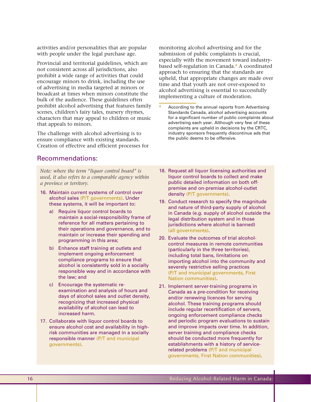activities and/or personalities that are popular with people under the legal purchase age.

Provincial and territorial guidelines, which are not consistent across all jurisdictions, also prohibit a wide range of activities that could encourage minors to drink, including the use of advertising in media targeted at minors or broadcast at times when minors constitute the bulk of the audience. These guidelines often prohibit alcohol advertising that features family scenes, children's fairy tales, nursery rhymes, characters that may appeal to children or music that appeals to minors.

The challenge with alcohol advertising is to ensure compliance with existing standards. Creation of effective and efficient processes for

## Recommendations:

*Note: where the term "liquor control board" is used, it also refers to a comparable agency within a province or territory.*

- 16. Maintain current systems of control over alcohol sales (P/T governments). Under these systems, it will be important to:
	- a) Require liquor control boards to maintain a social-responsibility frame of reference for all matters pertaining to their operations and governance, and to maintain or increase their spending and programming in this area;
	- b) Enhance staff training at outlets and implement ongoing enforcement compliance programs to ensure that alcohol is consistently sold in a socially responsible way and in accordance with the law; and
	- c) Encourage the systematic reexamination and analysis of hours and days of alcohol sales and outlet density, recognizing that increased physical availability of alcohol can lead to increased harm.
- 17. Collaborate with liquor control boards to ensure alcohol cost and availability in highrisk communities are managed in a socially responsible manner (P/T and municipal governments).

monitoring alcohol advertising and for the submission of public complaints is crucial, especially with the movement toward industrybased self-regulation in Canada.<sup>4</sup> A coordinated approach to ensuring that the standards are upheld, that appropriate changes are made over time and that youth are not over-exposed to alcohol advertising is essential to successfully implementing a culture of moderation.

- According to the annual reports from Advertising Standards Canada, alcohol advertising accounts for a significant number of public complaints about advertising each year. Although very few of these complaints are upheld in decisions by the CRTC, industry sponsors frequently discontinue ads that the public deems to be offensive.
- 18. Request all liquor licensing authorities and liquor control boards to collect and make public detailed information on both offpremise and on-premise alcohol-outlet density (P/T governments).
- 19. Conduct research to specify the magnitude and nature of third-party supply of alcohol in Canada (e.g. supply of alcohol outside the legal distribution system and in those jurisdictions where alcohol is banned) (all governments).
- 20. Evaluate the outcomes of trial alcoholcontrol measures in remote communities (particularly in the three territories), including total bans, limitations on importing alcohol into the community and severely restrictive selling practices (P/T and municipal governments, First Nation communities).
- 21. Implement server-training programs in Canada as a pre-condition for receiving and/or renewing licences for serving alcohol. These training programs should include regular recertification of servers, ongoing enforcement compliance checks and periodic program evaluations to sustain and improve impacts over time. In addition, server training and compliance checks should be conducted more frequently for establishments with a history of servicerelated problems (P/T and municipal governments, First Nation communities).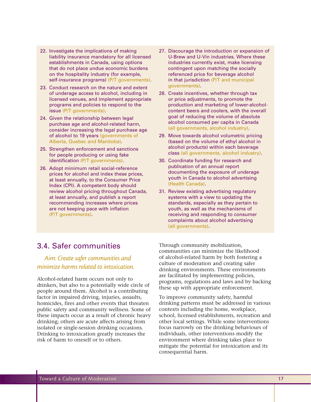- 22. Investigate the implications of making liability insurance mandatory for all licensed establishments in Canada, using options that do not place undue economic burdens on the hospitality industry (for example, self-insurance programs) (P/T governments).
- 23. Conduct research on the nature and extent of underage access to alcohol, including in licensed venues, and implement appropriate programs and policies to respond to the issue (P/T governments).
- 24. Given the relationship between legal purchase age and alcohol-related harm, consider increasing the legal purchase age of alcohol to 19 years (governments of Alberta, Quebec and Manitoba).
- 25. Strengthen enforcement and sanctions for people producing or using fake identification (P/T governments).
- 26. Adopt minimum retail social-reference prices for alcohol and index these prices, at least annually, to the Consumer Price Index (CPI). A competent body should review alcohol pricing throughout Canada, at least annually, and publish a report recommending increases where prices are not keeping pace with inflation (P/T governments).
- 27. Discourage the introduction or expansion of U-Brew and U-Vin industries. Where these industries currently exist, make licensing contingent upon matching the socially referenced price for beverage alcohol in that jurisdiction (P/T and municipal governments).
- 28. Create incentives, whether through tax or price adjustments, to promote the production and marketing of lower-alcoholcontent beers and coolers, with the overall goal of reducing the volume of absolute alcohol consumed per capita in Canada (all governments, alcohol industry).
- 29. Move towards alcohol volumetric pricing (based on the volume of ethyl alcohol in alcohol products) within each beverage class (all governments, alcohol industry).
- 30. Coordinate funding for research and publication of an annual report documenting the exposure of underage youth in Canada to alcohol advertising (Health Canada).
- 31. Review existing advertising regulatory systems with a view to updating the standards, especially as they pertain to youth, as well as the mechanisms of receiving and responding to consumer complaints about alcohol advertising (all governments).

# 3.4. Safer communities

# *Aim: Create safer communities and minimize harms related to intoxication.*

Alcohol-related harm occurs not only to drinkers, but also to a potentially wide circle of people around them. Alcohol is a contributing factor in impaired driving, injuries, assaults, homicides, fires and other events that threaten public safety and community wellness. Some of these impacts occur as a result of chronic heavy drinking; others are acute affects arising from isolated or single-session drinking occasions. Drinking to intoxication greatly increases the risk of harm to oneself or to others.

Through community mobilization, communities can minimize the likelihood of alcohol-related harm by both fostering a culture of moderation and creating safer drinking environments. These environments are facilitated by implementing policies, programs, regulations and laws and by backing these up with appropriate enforcement.

To improve community safety, harmful drinking patterns must be addressed in various contexts including the home, workplace, school, licensed establishments, recreation and other local settings. While some interventions focus narrowly on the drinking behaviours of individuals, other interventions modify the environment where drinking takes place to mitigate the potential for intoxication and its consequential harm.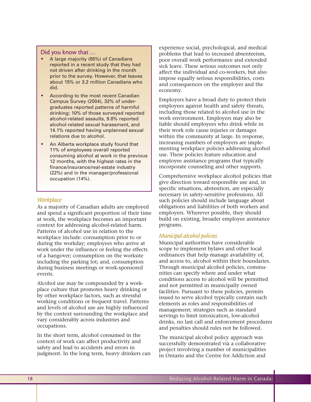### Did you know that …

- A large majority (85%) of Canadians reported in a recent study that they had not driven after drinking in the month prior to the survey. However, that leaves about 15% or 3.2 million Canadians who did.
- According to the most recent Canadian Campus Survey (2004), 32% of undergraduates reported patterns of harmful drinking; 10% of those surveyed reported alcohol-related assaults, 9.8% reported alcohol-related sexual harassment, and 14.1% reported having unplanned sexual relations due to alcohol.
- An Alberta workplace study found that 11% of employees overall reported consuming alcohol at work in the previous 12 months, with the highest rates in the finance/insurance/real-estate industry (22%) and in the manager/professional occupation (14%).

### *Workplace*

As a majority of Canadian adults are employed and spend a significant proportion of their time at work, the workplace becomes an important context for addressing alcohol-related harm. Patterns of alcohol use in relation to the workplace include: consumption prior to or during the workday; employees who arrive at work under the influence or feeling the effects of a hangover; consumption on the worksite including the parking lot; and, consumption during business meetings or work-sponsored events.

Alcohol use may be compounded by a workplace culture that promotes heavy drinking or by other workplace factors, such as stressful working conditions or frequent travel. Patterns and levels of alcohol use are highly influenced by the context surrounding the workplace and vary considerably across industries and occupations.

In the short term, alcohol consumed in the context of work can affect productivity and safety and lead to accidents and errors in judgment. In the long term, heavy drinkers can experience social, psychological, and medical problems that lead to increased absenteeism, poor overall work performance and extended sick leave. These serious outcomes not only affect the individual and co-workers, but also impose equally serious responsibilities, costs and consequences on the employer and the economy.

Employers have a broad duty to protect their employees against health and safety threats, including those related to alcohol use in the work environment. Employers may also be liable should employees who drink while in their work role cause injuries or damages within the community at large. In response, increasing numbers of employers are implementing workplace policies addressing alcohol use. These policies feature education and employee assistance programs that typically incorporate counseling and other supports.

Comprehensive workplace alcohol policies that give direction toward responsible use and, in specific situations, abstention, are especially necessary in safety-sensitive professions. All such policies should include language about obligations and liabilities of both workers and employers. Wherever possible, they should build on existing, broader employee assistance programs.

### *Municipal alcohol policies*

Municipal authorities have considerable scope to implement bylaws and other local ordinances that help manage availability of, and access to, alcohol within their boundaries. Through municipal alcohol policies, communities can specify where and under what conditions access to alcohol will be permitted and not permitted in municipally owned facilities. Pursuant to these policies, permits issued to serve alcohol typically contain such elements as roles and responsibilities of management; strategies such as standard servings to limit intoxication, low-alcohol drinks, no last call and enforcement procedures and penalties should rules not be followed.

The municipal alcohol policy approach was successfully demonstrated via a collaborative project involving a number of municipalities in Ontario and the Centre for Addiction and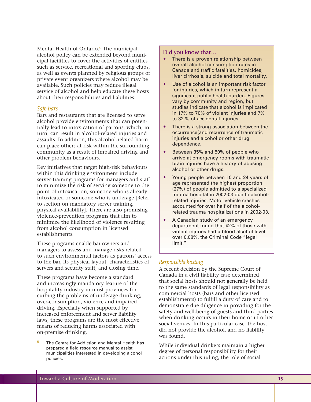Mental Health of Ontario.<sup>5</sup> The municipal alcohol policy can be extended beyond municipal facilities to cover the activities of entities such as service, recreational and sporting clubs, as well as events planned by religious groups or private event organizers where alcohol may be available. Such policies may reduce illegal service of alcohol and help educate these hosts about their responsibilities and liabilities.

### *Safe bars*

Bars and restaurants that are licensed to serve alcohol provide environments that can potentially lead to intoxication of patrons, which, in turn, can result in alcohol-related injuries and assaults. In addition, this alcohol-related harm can place others at risk within the surrounding community as a result of impaired driving and other problem behaviours.

Key initiatives that target high-risk behaviours within this drinking environment include server-training programs for managers and staff to minimize the risk of serving someone to the point of intoxication, someone who is already intoxicated or someone who is underage [Refer to section on mandatory server training, physical availability]. There are also promising violence-prevention programs that aim to minimize the likelihood of violence resulting from alcohol consumption in licensed establishments.

These programs enable bar owners and managers to assess and manage risks related to such environmental factors as patrons' access to the bar, its physical layout, characteristics of servers and security staff, and closing time.

These programs have become a standard and increasingly mandatory feature of the hospitality industry in most provinces for curbing the problems of underage drinking, over-consumption, violence and impaired driving. Especially when supported by increased enforcement and server liability laws, these programs are the most effective means of reducing harms associated with on-premise drinking.

### Did you know that…

- There is a proven relationship between overall alcohol consumption rates in Canada and traffic fatalities, homicides, liver cirrhosis, suicide and total mortality.
- Use of alcohol is an important risk factor for injuries, which in turn represent a significant public health burden. Figures vary by community and region, but studies indicate that alcohol is implicated in 17% to 70% of violent injuries and 7% to 32 % of accidental injuries.
- There is a strong association between the occurrence(and recurrence of traumatic injuries and alcohol or other drug dependence.
- Between 35% and 50% of people who arrive at emergency rooms with traumatic brain injuries have a history of abusing alcohol or other drugs.
- Young people between 10 and 24 years of age represented the highest proportion (27%) of people admitted to a specialized trauma hospital in 2002-03 due to alcoholrelated injuries. Motor vehicle crashes accounted for over half of the alcoholrelated trauma hospitalizations in 2002-03.
- A Canadian study of an emergency department found that 42% of those with violent injuries had a blood alcohol level over 0.08%, the Criminal Code "legal limit."

### *Responsible hosting*

A recent decision by the Supreme Court of Canada in a civil liability case determined that social hosts should not generally be held to the same standards of legal responsibility as commercial hosts (bars and other licensed establishments) to fulfill a duty of care and to demonstrate due diligence in providing for the safety and well-being of guests and third parties when drinking occurs in their home or in other social venues. In this particular case, the host did not provide the alcohol, and no liability was found.

While individual drinkers maintain a higher degree of personal responsibility for their actions under this ruling, the role of social

The Centre for Addiction and Mental Health has prepared a field resource manual to assist municipalities interested in developing alcohol policies.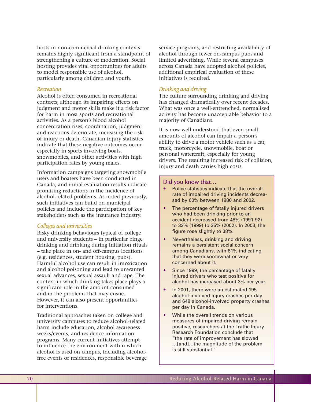hosts in non-commercial drinking contexts remains highly significant from a standpoint of strengthening a culture of moderation. Social hosting provides vital opportunities for adults to model responsible use of alcohol, particularly among children and youth.

### *Recreation*

Alcohol is often consumed in recreational contexts, although its impairing effects on judgment and motor skills make it a risk factor for harm in most sports and recreational activities. As a person's blood alcohol concentration rises, coordination, judgment and reactions deteriorate, increasing the risk of injury or death. Canadian injury statistics indicate that these negative outcomes occur especially in sports involving boats, snowmobiles, and other activities with high participation rates by young males.

Information campaigns targeting snowmobile users and boaters have been conducted in Canada, and initial evaluation results indicate promising reductions in the incidence of alcohol-related problems. As noted previously, such initiatives can build on municipal policies and include the participation of key stakeholders such as the insurance industry.

### *Colleges and universities*

Risky drinking behaviours typical of college and university students – in particular binge drinking and drinking during initiation rituals – take place in on- and off-campus locations (e.g. residences, student housing, pubs). Harmful alcohol use can result in intoxication and alcohol poisoning and lead to unwanted sexual advances, sexual assault and rape. The context in which drinking takes place plays a significant role in the amount consumed and in the problems that may ensue. However, it can also present opportunities for interventions.

Traditional approaches taken on college and university campuses to reduce alcohol-related harm include education, alcohol awareness weeks/events, and residence information programs. Many current initiatives attempt to influence the environment within which alcohol is used on campus, including alcoholfree events or residences, responsible beverage service programs, and restricting availability of alcohol through fewer on-campus pubs and limited advertising. While several campuses across Canada have adopted alcohol policies, additional empirical evaluation of these initiatives is required.

### *Drinking and driving*

The culture surrounding drinking and driving has changed dramatically over recent decades. What was once a well-entrenched, normalized activity has become unacceptable behavior to a majority of Canadians.

It is now well understood that even small amounts of alcohol can impair a person's ability to drive a motor vehicle such as a car, truck, motorcycle, snowmobile, boat or personal watercraft, especially for young drivers. The resulting increased risk of collision, injury and death carries high costs.

### Did you know that…

- Police statistics indicate that the overall rate of impaired driving incidents decreased by 60% between 1980 and 2002.
- The percentage of fatally injured drivers who had been drinking prior to an accident decreased from 48% (1991-92) to 33% (1999) to 35% (2002). In 2003, the figure rose slightly to 38%.
- Nevertheless, drinking and driving remains a persistent social concern among Canadians, with 81% indicating that they were somewhat or very concerned about it.
- Since 1999, the percentage of fatally injured drivers who test positive for alcohol has increased about 3% per year.
- In 2001, there were an estimated 195 alcohol-involved injury crashes per day and 648 alcohol-involved property crashes per day in Canada.
- While the overall trends on various measures of impaired driving remain positive, researchers at the Traffic Injury Research Foundation conclude that "the rate of improvement has slowed …[and]…the magnitude of the problem is still substantial."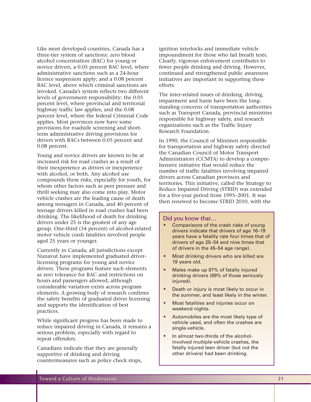Like most developed countries, Canada has a three-tier system of sanctions: zero blood alcohol concentration (BAC) for young or novice drivers, a 0.05 percent BAC level, where administrative sanctions such as a 24-hour licence suspension apply; and a 0.08 percent BAC level, above which criminal sanctions are invoked. Canada's system reflects two different levels of government responsibility: the 0.05 percent level, where provincial and territorial highway traffic law applies, and the 0.08 percent level, where the federal Criminal Code applies. Most provinces now have some provisions for roadside screening and shortterm administrative driving provisions for drivers with BACs between 0.05 percent and 0.08 percent.

Young and novice drivers are known to be at increased risk for road crashes as a result of their inexperience as drivers or inexperience with alcohol, or both. Any alcohol use compounds these risks, especially for youth, for whom other factors such as peer pressure and thrill seeking may also come into play. Motor vehicle crashes are the leading cause of death among teenagers in Canada, and 40 percent of teenage drivers killed in road crashes had been drinking. The likelihood of death for drinking drivers under 25 is the greatest of any age group. One-third (34 percent) of alcohol-related motor vehicle crash fatalities involved people aged 25 years or younger.

Currently in Canada, all jurisdictions except Nunavut have implemented graduated driverlicensing programs for young and novice drivers. These programs feature such elements as zero tolerance for BAC and restrictions on hours and passengers allowed, although considerable variation exists across program elements. A growing body of research confirms the safety benefits of graduated driver licensing and supports the identification of best practices.

While significant progress has been made to reduce impaired driving in Canada, it remains a serious problem, especially with regard to repeat offenders.

Canadians indicate that they are generally supportive of drinking and driving countermeasures such as police check stops, ignition interlocks and immediate vehicle impoundment for those who fail breath tests. Clearly, vigorous enforcement contributes to fewer people drinking and driving. However, continued and strengthened public awareness initiatives are important in supporting these efforts.

The inter-related issues of drinking, driving, impairment and harm have been the longstanding concerns of transportation authorities such as Transport Canada, provincial ministries responsible for highway safety, and research organizations such as the Traffic Injury Research Foundation.

In 1990, the Council of Ministers responsible for transportation and highway safety directed the Canadian Council of Motor Transport Administrators (CCMTA) to develop a comprehensive initiative that would reduce the number of traffic fatalities involving impaired drivers across Canadian provinces and territories. This initiative, called the Strategy to Reduce Impaired Driving (STRID) was extended for a five-year period from 1995–2001. It was then renewed to become STRID 2010, with the

### Did you know that…

- Comparisons of the crash risks of young drivers indicate that drivers of age 16–19 years have a fatality rate four times that of drivers of age 25–34 and nine times that of drivers in the 45–54 age range).
- Most drinking drivers who are killed are 19 years old.
- Males make up 87% of fatally injured drinking drivers (89% of those seriously injured).
- Death or injury is most likely to occur in the summer, and least likely in the winter.
- Most fatalities and injuries occur on weekend nights.
- Automobiles are the most likely type of vehicle used, and often the crashes are single-vehicle.
- In almost two-thirds of the alcoholinvolved multiple-vehicle crashes, the fatally injured teen driver (but not the other drivers) had been drinking.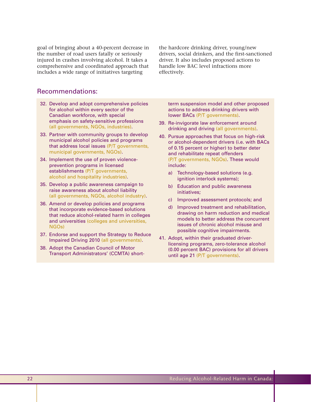goal of bringing about a 40-percent decrease in the number of road users fatally or seriously injured in crashes involving alcohol. It takes a comprehensive and coordinated approach that includes a wide range of initiatives targeting

the hardcore drinking driver, young/new drivers, social drinkers, and the first-sanctioned driver. It also includes proposed actions to handle low BAC level infractions more effectively.

## Recommendations:

- 32. Develop and adopt comprehensive policies for alcohol within every sector of the Canadian workforce, with special emphasis on safety-sensitive professions (all governments, NGOs, industries).
- 33. Partner with community groups to develop municipal alcohol policies and programs that address local issues (P/T governments, municipal governments, NGOs).
- 34. Implement the use of proven violenceprevention programs in licensed establishments (P/T governments, alcohol and hospitality industries).
- 35. Develop a public awareness campaign to raise awareness about alcohol liability (all governments, NGOs, alcohol industry).
- 36. Amend or develop policies and programs that incorporate evidence-based solutions that reduce alcohol-related harm in colleges and universities (colleges and universities, NGOs)
- 37. Endorse and support the Strategy to Reduce Impaired Driving 2010 (all governments).
- 38. Adopt the Canadian Council of Motor Transport Administrators' (CCMTA) short-

term suspension model and other proposed actions to address drinking drivers with lower BACs (P/T governments).

- 39. Re-invigorate law enforcement around drinking and driving (all governments).
- 40. Pursue approaches that focus on high-risk or alcohol-dependent drivers (i.e. with BACs of 0.15 percent or higher) to better deter and rehabilitate repeat offenders (P/T governments, NGOs). These would include:
	- a) Technology-based solutions (e.g. ignition interlock systems);
	- b) Education and public awareness initiatives;
	- c) Improved assessment protocols; and
	- d) Improved treatment and rehabilitation, drawing on harm reduction and medical models to better address the concurrent issues of chronic alcohol misuse and possible cognitive impairments.
- 41. Adopt, within their graduated driverlicensing programs, zero-tolerance alcohol (0.00 percent BAC) provisions for all drivers until age 21 (P/T governments).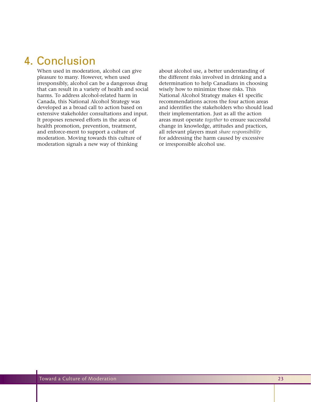# 4. Conclusion

When used in moderation, alcohol can give pleasure to many. However, when used irresponsibly, alcohol can be a dangerous drug that can result in a variety of health and social harms. To address alcohol-related harm in Canada, this National Alcohol Strategy was developed as a broad call to action based on extensive stakeholder consultations and input. It proposes renewed efforts in the areas of health promotion, prevention, treatment, and enforce-ment to support a culture of moderation. Moving towards this culture of moderation signals a new way of thinking

about alcohol use, a better understanding of the different risks involved in drinking and a determination to help Canadians in choosing wisely how to minimize those risks. This National Alcohol Strategy makes 41 specific recommendations across the four action areas and identifies the stakeholders who should lead their implementation. Just as all the action areas must operate *together* to ensure successful change in knowledge, attitudes and practices, all relevant players must *share responsibility* for addressing the harm caused by excessive or irresponsible alcohol use.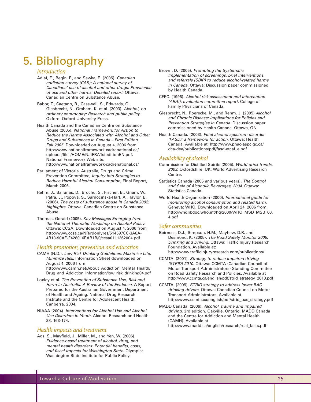# 5. Bibliography

### *Introduction*

- Adlaf, E., Begin, P., and Sawka, E. (2005). Canadian addiction survey (CAS): A national survey of Canadians' use of alcohol and other drugs: Prevalence of use and other harms: Detailed report. Ottawa: Canadian Centre on Substance Abuse.
- Babor, T., Caetano, R., Casswell, S., Edwards, G., Giesbrecht, N., Graham, K. et al. (2003). Alcohol, no ordinary commodity: Research and public policy. Oxford: Oxford University Press.
- Health Canada and the Canadian Centre on Substance Abuse (2005). National Framework for Action to Reduce the Harms Associated with Alcohol and Other Drugs and Substances in Canada – First Edition, Fall 2005. Downloaded on August 4, 2006 from http://www.nationalframework-cadrenational.ca/ uploads/files/HOME/NatFRA1steditionEN.pdf. National Framework Web site: http://www.nationalframework-cadrenational.ca/
- Parliament of Victoria, Australia, Drugs and Crime Prevention Committee, Inquiry into Strategies to Reduce Harmful Alcohol Consumption, Final Report, March 2006.
- Rehm, J., Ballunas, D., Brochu, S., Fischer, B., Gnam, W., Patra, J., Popova, S., Sarnocinska-Hart, A., Taylor, B. (2006). The costs of substance abuse in Canada 2002: highlights. Ottawa: Canadian Centre on Substance Abuse.
- Thomas, Gerald (2005). Key Messages Emerging from the National Thematic Workshop on Alcohol Policy. Ottawa: CCSA. Downloaded on August 4, 2006 from http://www.ccsa.ca/NR/rdonlyres/514597CC-3A8A-4B13-90AE-F428016EAB1B/0/ccsa0111362004.pdf

#### *Health promotion, prevention and education*

- CAMH (N.D.). Low Risk Drinking Guidelines: Maximize Life, Minimize Risk. Information Sheet downloaded on August 4, 2006 from http://www.camh.net/About\_Addiction\_Mental\_Health/ Drug\_and\_Addiction\_Information/low\_risk\_drinking04.pdf
- Loxley et al. The Prevention of Substance Use, Risk and Harm in Australia: A Review of the Evidence. A Report Prepared for the Australian Government Department of Health and Ageing. National Drug Research Institute and the Centre for Adolescent Health, Canberra. 2004.
- NIAAA (2004). Interventions for Alcohol Use and Alcohol Use Disorders in Youth. Alcohol Research and Health 28, 163-174.

### *Health impacts and treatment*

Aos, S., Mayfield, J., Miller, M., and Yen, W. (2006). Evidence-based treatment of alcohol, drug, and mental health disorders: Potential benefits, costs, and fiscal impacts for Washington State. Olympia: Washington State Institute for Public Policy.

- Brown, D. (2005). Promoting the Systematic Implementation of screenings, brief interventions, and referrals (SBIR) to reduce alcohol-related harms in Canada. Ottawa: Discussion paper commissioned by Health Canada.
- CFPC. (1996). Alcohol risk assessment and intervention (ARAI): evaluation committee report. College of Family Physicians of Canada.
- Giesbrecht, N., Roerecke, M., and Rehm. J. (2005) Alcohol and Chronic Disease: Implications for Policies and Prevention Strategies in Canada. Discussion paper commissioned by Health Canada. Ottawa, ON.
- Health Canada. (2003). Fetal alcohol spectrum disorder (FASD): a framework for action. Ottawa: Health Canada. Available at: http://www.phac-aspc.gc.ca/ dca-dea/publications/pdf/fasd-etcaf\_e.pdf

### *Availability of alcohol*

- Commission for Distilled Spirits (2005). World drink trends, 2003. Oxfordshire, UK: World Advertising Research Centre.
- Statistics Canada (2005 and various years). The Control and Sale of Alcoholic Beverages, 2004. Ottawa: Statistics Canada.
- World Health Organization (2000). International guide for monitoring alcohol consumption and related harm. Geneva: WHO. Downloaded on April 24, 2006 from: http://whqlibdoc.who.int/hq/2000/WHO\_MSD\_MSB\_00. 4.pdf

### *Safer communities*

- Beirness, D.J., Simpson, H.M., Mayhew, D.R. and Desmond, K. (2005). The Road Safety Monitor 2005: Drinking and Driving. Ottawa: Traffic Injury Research Foundation. Available at: http://www.trafficinjuryresearch.com/publications/
- CCMTA. (2001). Strategy to reduce impaired driving (STRID) 2010. Ottawa: CCMTA (Canadian Council of Motor Transport Administrators) Standing Committee on Road Safety Research and Policies. Available at http://www.ccmta.ca/english/pdf/strid\_strategy\_2010.pdf
- CCMTA. (2005). STRID strategy to address lower BAC drinking drivers. Ottawa: Canadian Council on Motor Transport Administrators. Available at http://www.ccmta.ca/english/pdf/strid\_bac\_strategy.pdf
- MADD Canada. (2006). Alcohol, trauma and impaired driving, 3rd edition. Oakville, Ontario. MADD Canada and the Centre for Addiction and Mental Health (CAMH). Available at http://www.madd.ca/english/research/real\_facts.pdf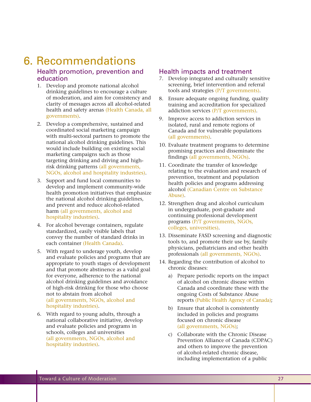# 6. Recommendations

# Health promotion, prevention and education

- 1. Develop and promote national alcohol drinking guidelines to encourage a culture of moderation, and aim for consistency and clarity of messages across all alcohol-related health and safety arenas (Health Canada, all governments).
- 2. Develop a comprehensive, sustained and coordinated social marketing campaign with multi-sectoral partners to promote the national alcohol drinking guidelines. This would include building on existing social marketing campaigns such as those targeting drinking and driving and highrisk drinking patterns (all governments, NGOs, alcohol and hospitality industries).
- 3. Support and fund local communities to develop and implement community-wide health promotion initiatives that emphasize the national alcohol drinking guidelines, and prevent and reduce alcohol-related harm (all governments, alcohol and hospitality industries).
- 4. For alcohol beverage containers, regulate standardized, easily visible labels that convey the number of standard drinks in each container (Health Canada).
- 5. With regard to underage youth, develop and evaluate policies and programs that are appropriate to youth stages of development and that promote abstinence as a valid goal for everyone, adherence to the national alcohol drinking guidelines and avoidance of high-risk drinking for those who choose not to abstain from alcohol (all governments, NGOs, alcohol and hospitality industries).
- 6. With regard to young adults, through a national collaborative initiative, develop and evaluate policies and programs in schools, colleges and universities (all governments, NGOs, alcohol and hospitality industries).

## Health impacts and treatment

- 7. Develop integrated and culturally sensitive screening, brief intervention and referral tools and strategies (P/T governments).
- 8. Ensure adequate ongoing funding, quality training and accreditation for specialized addiction services (P/T governments).
- 9. Improve access to addiction services in isolated, rural and remote regions of Canada and for vulnerable populations (all governments).
- 10. Evaluate treatment programs to determine promising practices and disseminate the findings (all governments, NGOs).
- 11. Coordinate the transfer of knowledge relating to the evaluation and research of prevention, treatment and population health policies and programs addressing alcohol (Canadian Centre on Substance Abuse).
- 12. Strengthen drug and alcohol curriculum in undergraduate, post-graduate and continuing professional development programs (P/T governments, NGOs, colleges, universities).
- 13. Disseminate FASD screening and diagnostic tools to, and promote their use by, family physicians, pediatricians and other health professionals (all governments, NGOs).
- 14. Regarding the contribution of alcohol to chronic diseases:
	- a) Prepare periodic reports on the impact of alcohol on chronic disease within Canada and coordinate these with the ongoing Costs of Substance Abuse reports (Public Health Agency of Canada);
	- b) Ensure that alcohol is consistently included in policies and programs focused on chronic disease (all governments, NGOs);
	- c) Collaborate with the Chronic Disease Prevention Alliance of Canada (CDPAC) and others to improve the prevention of alcohol-related chronic disease, including implementation of a public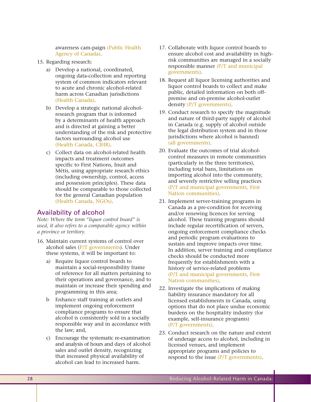awareness cam-paign (Public Health Agency of Canada).

- 15. Regarding research:
	- a) Develop a national, coordinated, ongoing data-collection and reporting system of common indicators relevant to acute and chronic alcohol-related harm across Canadian jurisdictions (Health Canada).
	- b) Develop a strategic national alcoholresearch program that is informed by a determinants of health approach and is directed at gaining a better understanding of the risk and protective factors surrounding alcohol use (Health Canada, CIHR).
	- c) Collect data on alcohol-related health impacts and treatment outcomes specific to First Nations, Inuit and Métis, using appropriate research ethics (including ownership, control, access and possession principles). These data should be comparable to those collected for the general Canadian population (Health Canada, NGOs).

## Availability of alcohol

*Note: Where the term "liquor control board" is used, it also refers to a comparable agency within a province or territory.*

- 16. Maintain current systems of control over alcohol sales (P/T governments). Under these systems, it will be important to:
	- a) Require liquor control boards to maintain a social-responsibility frame of reference for all matters pertaining to their operations and governance, and to maintain or increase their spending and programming in this area;
	- b Enhance staff training at outlets and implement ongoing enforcement compliance programs to ensure that alcohol is consistently sold in a socially responsible way and in accordance with the law; and,
	- c) Encourage the systematic re-examination and analysis of hours and days of alcohol sales and outlet density, recognizing that increased physical availability of alcohol can lead to increased harm.
- 17. Collaborate with liquor control boards to ensure alcohol cost and availability in highrisk communities are managed in a socially responsible manner (P/T and municipal governments).
- 18. Request all liquor licensing authorities and liquor control boards to collect and make public, detailed information on both offpremise and on-premise alcohol-outlet density (P/T governments).
- 19. Conduct research to specify the magnitude and nature of third-party supply of alcohol in Canada (e.g. supply of alcohol outside the legal distribution system and in those jurisdictions where alcohol is banned) (all governments).
- 20. Evaluate the outcomes of trial alcoholcontrol measures in remote communities (particularly in the three territories), including total bans, limitations on importing alcohol into the community, and severely restrictive selling practices (P/T and municipal governments, First Nation communities).
- 21. Implement server-training programs in Canada as a pre-condition for receiving and/or renewing licences for serving alcohol. These training programs should include regular recertification of servers, ongoing enforcement compliance checks and periodic program evaluations to sustain and improve impacts over time. In addition, server training and compliance checks should be conducted more frequently for establishments with a history of service-related problems (P/T and municipal governments, First Nation communities).
- 22. Investigate the implications of making liability insurance mandatory for all licensed establishments in Canada, using options that do not place undue economic burdens on the hospitality industry (for example, self-insurance programs) (P/T governments).
- 23. Conduct research on the nature and extent of underage access to alcohol, including in licensed venues, and implement appropriate programs and policies to respond to the issue (P/T governments).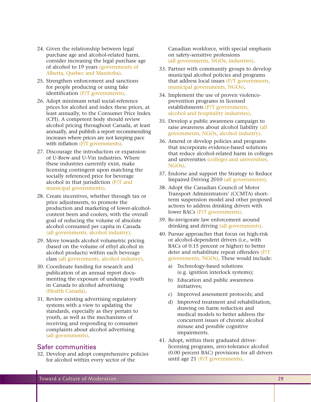- 24. Given the relationship between legal purchase age and alcohol-related harm, consider increasing the legal purchase age of alcohol to 19 years (governments of Alberta, Quebec and Manitoba).
- 25. Strengthen enforcement and sanctions for people producing or using fake identification (P/T governments).
- 26. Adopt minimum retail social-reference prices for alcohol and index these prices, at least annually, to the Consumer Price Index (CPI). A competent body should review alcohol pricing throughout Canada, at least annually, and publish a report recommending increases where prices are not keeping pace with inflation ( $P/T$  governments).
- 27. Discourage the introduction or expansion of U-Brew and U-Vin industries. Where these industries currently exist, make licensing contingent upon matching the socially referenced price for beverage alcohol in that jurisdiction (P/T and municipal governments).
- 28. Create incentives, whether through tax or price adjustments, to promote the production and marketing of lower-alcoholcontent beers and coolers, with the overall goal of reducing the volume of absolute alcohol consumed per capita in Canada (all governments, alcohol industry).
- 29. Move towards alcohol volumetric pricing (based on the volume of ethyl alcohol in alcohol products) within each beverage class (all governments, alcohol industry).
- 30. Coordinate funding for research and publication of an annual report documenting the exposure of underage youth in Canada to alcohol advertising (Health Canada).
- 31. Review existing advertising regulatory systems with a view to updating the standards, especially as they pertain to youth, as well as the mechanisms of receiving and responding to consumer complaints about alcohol advertising (all governments).

# Safer communities

32. Develop and adopt comprehensive policies for alcohol within every sector of the

Canadian workforce, with special emphasis on safety-sensitive professions (all governments, NGOs, industries).

- 33. Partner with community groups to develop municipal alcohol policies and programs that address local issues (P/T governments, municipal governments, NGOs).
- 34. Implement the use of proven violenceprevention programs in licensed establishments (P/T governments, alcohol and hospitality industries).
- 35. Develop a public awareness campaign to raise awareness about alcohol liability (all governments, NGOs, alcohol industry).
- 36. Amend or develop policies and programs that incorporate evidence-based solutions that reduce alcohol-related harm in colleges and universities (colleges and universities, NGOs).
- 37. Endorse and support the Strategy to Reduce Impaired Driving 2010 (all governments).
- 38. Adopt the Canadian Council of Motor Transport Administrators' (CCMTA) shortterm suspension model and other proposed actions to address drinking drivers with lower BACs (P/T governments).
- 39. Re-invigorate law enforcement around drinking and driving (all governments).
- 40. Pursue approaches that focus on high-risk or alcohol-dependent drivers (i.e., with BACs of 0.15 percent or higher) to better deter and rehabilitate repeat offenders (P/T governments, NGOs). These would include:
	- a) Technology-based solutions (e.g. ignition interlock systems);
	- b) Education and public awareness initiatives;
	- c) Improved assessment protocols; and
	- d) Improved treatment and rehabilitation, drawing on harm reduction and medical models to better address the concurrent issues of chronic alcohol misuse and possible cognitive impairments.
- 41. Adopt, within their graduated driverlicensing programs, zero-tolerance alcohol (0.00 percent BAC) provisions for all drivers until age 21 (P/T governments).